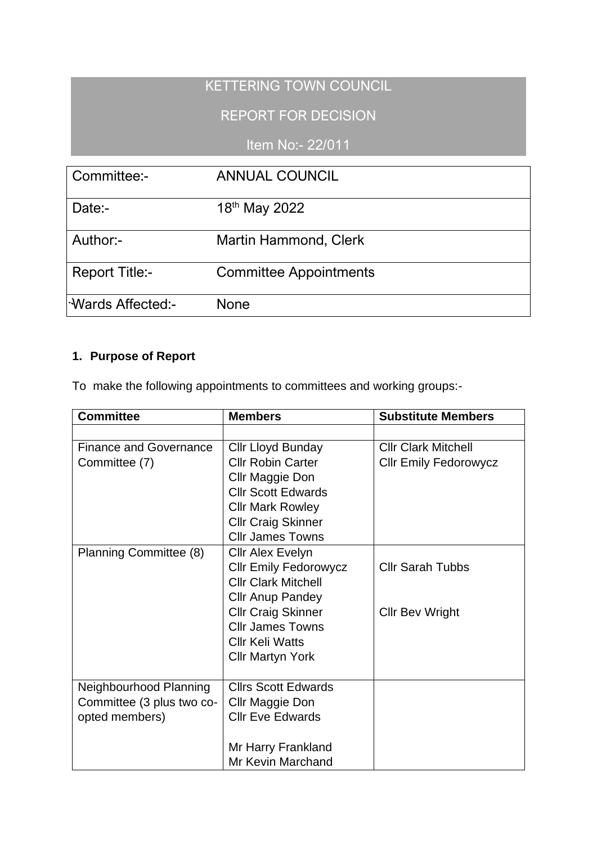## KETTERING TOWN COUNCIL

## REPORT FOR DECISION

Item No:- 22/011

| Committee:-                     | <b>ANNUAL COUNCIL</b>         |
|---------------------------------|-------------------------------|
| Date:-                          | 18th May 2022                 |
| Author:-                        | <b>Martin Hammond, Clerk</b>  |
| <b>Report Title:-</b>           | <b>Committee Appointments</b> |
| l <sup>-</sup> Wards Affected:- | None                          |

## **1. Purpose of Report**

To make the following appointments to committees and working groups:-

| <b>Committee</b>              | <b>Members</b>               | <b>Substitute Members</b>    |
|-------------------------------|------------------------------|------------------------------|
|                               |                              |                              |
| <b>Finance and Governance</b> | Cllr Lloyd Bunday            | <b>Cllr Clark Mitchell</b>   |
| Committee (7)                 | <b>Cllr Robin Carter</b>     | <b>Cllr Emily Fedorowycz</b> |
|                               | Cllr Maggie Don              |                              |
|                               | <b>Cllr Scott Edwards</b>    |                              |
|                               | <b>Cllr Mark Rowley</b>      |                              |
|                               | <b>Cllr Craig Skinner</b>    |                              |
|                               | <b>Cllr James Towns</b>      |                              |
| Planning Committee (8)        | <b>Cllr Alex Evelyn</b>      |                              |
|                               | <b>Cllr Emily Fedorowycz</b> | <b>Cllr Sarah Tubbs</b>      |
|                               | <b>Cllr Clark Mitchell</b>   |                              |
|                               | <b>Cllr Anup Pandey</b>      |                              |
|                               | <b>Cllr Craig Skinner</b>    | <b>Cllr Bev Wright</b>       |
|                               | <b>Cllr James Towns</b>      |                              |
|                               | <b>Cllr Keli Watts</b>       |                              |
|                               | <b>Cllr Martyn York</b>      |                              |
|                               |                              |                              |
| Neighbourhood Planning        | <b>Cllrs Scott Edwards</b>   |                              |
| Committee (3 plus two co-     | Cllr Maggie Don              |                              |
| opted members)                | <b>Cllr Eve Edwards</b>      |                              |
|                               |                              |                              |
|                               | Mr Harry Frankland           |                              |
|                               | <b>Mr Kevin Marchand</b>     |                              |